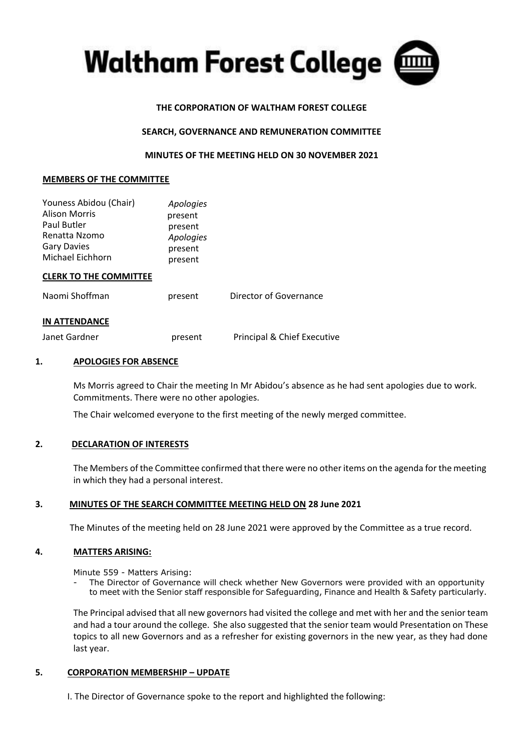

## **THE CORPORATION OF WALTHAM FOREST COLLEGE**

#### **SEARCH, GOVERNANCE AND REMUNERATION COMMITTEE**

#### **MINUTES OF THE MEETING HELD ON 30 NOVEMBER 2021**

#### **MEMBERS OF THE COMMITTEE**

| Youness Abidou (Chair) | Apologies |
|------------------------|-----------|
| <b>Alison Morris</b>   | present   |
| Paul Butler            | present   |
| Renatta Nzomo          | Apologies |
| <b>Gary Davies</b>     | present   |
| Michael Eichhorn       | present   |

#### **CLERK TO THE COMMITTEE**

Naomi Shoffman **present** Director of Governance

## **IN ATTENDANCE**

Janet Gardner **present** Principal & Chief Executive

## **1. APOLOGIES FOR ABSENCE**

Ms Morris agreed to Chair the meeting In Mr Abidou's absence as he had sent apologies due to work. Commitments. There were no other apologies.

The Chair welcomed everyone to the first meeting of the newly merged committee.

## **2. DECLARATION OF INTERESTS**

The Members of the Committee confirmed that there were no other items on the agenda for the meeting in which they had a personal interest.

## **3. MINUTES OF THE SEARCH COMMITTEE MEETING HELD ON 28 June 2021**

The Minutes of the meeting held on 28 June 2021 were approved by the Committee as a true record.

## **4. MATTERS ARISING:**

Minute 559 - Matters Arising:

The Director of Governance will check whether New Governors were provided with an opportunity to meet with the Senior staff responsible for Safeguarding, Finance and Health & Safety particularly.

The Principal advised that all new governors had visited the college and met with her and the senior team and had a tour around the college. She also suggested that the senior team would Presentation on These topics to all new Governors and as a refresher for existing governors in the new year, as they had done last year.

## **5. CORPORATION MEMBERSHIP – UPDATE**

I. The Director of Governance spoke to the report and highlighted the following: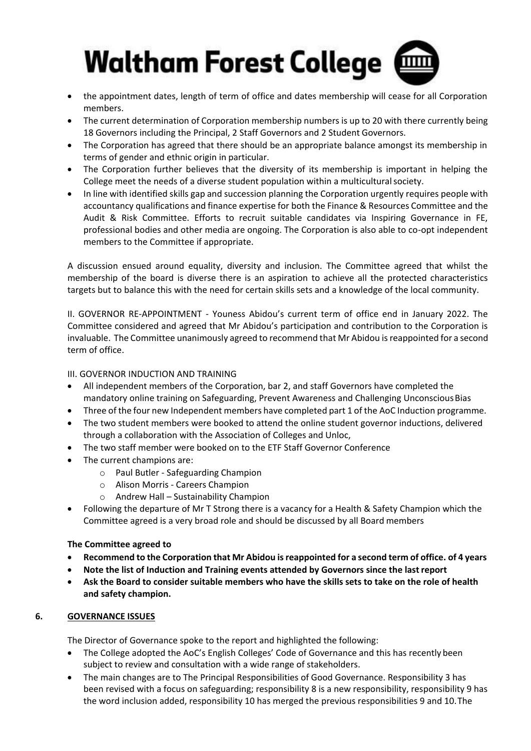

- the appointment dates, length of term of office and dates membership will cease for all Corporation members.
- The current determination of Corporation membership numbers is up to 20 with there currently being 18 Governors including the Principal, 2 Staff Governors and 2 Student Governors.
- The Corporation has agreed that there should be an appropriate balance amongst its membership in terms of gender and ethnic origin in particular.
- The Corporation further believes that the diversity of its membership is important in helping the College meet the needs of a diverse student population within a multiculturalsociety.
- In line with identified skills gap and succession planning the Corporation urgently requires people with accountancy qualifications and finance expertise for both the Finance & Resources Committee and the Audit & Risk Committee. Efforts to recruit suitable candidates via Inspiring Governance in FE, professional bodies and other media are ongoing. The Corporation is also able to co-opt independent members to the Committee if appropriate.

A discussion ensued around equality, diversity and inclusion. The Committee agreed that whilst the membership of the board is diverse there is an aspiration to achieve all the protected characteristics targets but to balance this with the need for certain skills sets and a knowledge of the local community.

II. GOVERNOR RE-APPOINTMENT - Youness Abidou's current term of office end in January 2022. The Committee considered and agreed that Mr Abidou's participation and contribution to the Corporation is invaluable. The Committee unanimously agreed to recommend that Mr Abidou isreappointed for a second term of office.

## III. GOVERNOR INDUCTION AND TRAINING

- All independent members of the Corporation, bar 2, and staff Governors have completed the mandatory online training on Safeguarding, Prevent Awareness and Challenging UnconsciousBias
- Three of the four new Independent members have completed part 1 of the AoC Induction programme.
- The two student members were booked to attend the online student governor inductions, delivered through a collaboration with the Association of Colleges and Unloc,
- The two staff member were booked on to the ETF Staff Governor Conference
- The current champions are:
	- o Paul Butler Safeguarding Champion
	- o Alison Morris Careers Champion
	- o Andrew Hall Sustainability Champion
- Following the departure of Mr T Strong there is a vacancy for a Health & Safety Champion which the Committee agreed is a very broad role and should be discussed by all Board members

## **The Committee agreed to**

- **Recommend to the Corporation that Mr Abidou isreappointed for a second term of office. of 4 years**
- **Note the list of Induction and Training events attended by Governors since the last report**
- **Ask the Board to consider suitable members who have the skills sets to take on the role of health and safety champion.**

# **6. GOVERNANCE ISSUES**

The Director of Governance spoke to the report and highlighted the following:

- The College adopted the AoC's English Colleges' Code of Governance and this has recently been subject to review and consultation with a wide range of stakeholders.
- The main changes are to The Principal Responsibilities of Good Governance. Responsibility 3 has been revised with a focus on safeguarding; responsibility 8 is a new responsibility, responsibility 9 has the word inclusion added, responsibility 10 has merged the previous responsibilities 9 and 10.The